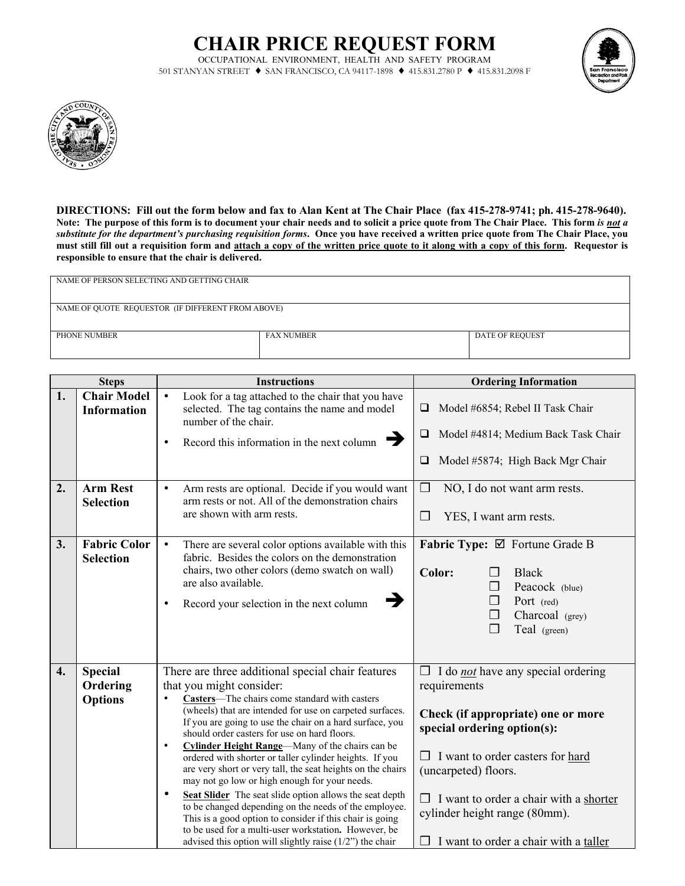## **CHAIR PRICE REQUEST FORM**

OCCUPATIONAL ENVIRONMENT, HEALTH AND SAFETY PROGRAM 501 STANYAN STREET ♦ SAN FRANCISCO, CA 94117-1898 ♦ 415.831.2780 P ♦ 415.831.2098 F





**DIRECTIONS: Fill out the form below and fax to Alan Kent at The Chair Place (fax 415-278-9741; ph. 415-278-9640). Note: The purpose of this form is to document your chair needs and to solicit a price quote from The Chair Place. This form** *is not a substitute for the department's purchasing requisition forms***. Once you have received a written price quote from The Chair Place, you must still fill out a requisition form and attach a copy of the written price quote to it along with a copy of this form. Requestor is responsible to ensure that the chair is delivered.**

| NAME OF PERSON SELECTING AND GETTING CHAIR        |                   |                        |  |  |
|---------------------------------------------------|-------------------|------------------------|--|--|
|                                                   |                   |                        |  |  |
| NAME OF QUOTE REQUESTOR (IF DIFFERENT FROM ABOVE) |                   |                        |  |  |
|                                                   |                   |                        |  |  |
| PHONE NUMBER                                      | <b>FAX NUMBER</b> | <b>DATE OF REQUEST</b> |  |  |
|                                                   |                   |                        |  |  |

| <b>Steps</b> |                                              | <b>Instructions</b>                                                                                                                                                                                                                                                                                                                                                                                                                                                                                                                                                                                                                                                                                                                                                                                                                                                 | <b>Ordering Information</b>                                                                                                                                                                                                                                                                                                  |
|--------------|----------------------------------------------|---------------------------------------------------------------------------------------------------------------------------------------------------------------------------------------------------------------------------------------------------------------------------------------------------------------------------------------------------------------------------------------------------------------------------------------------------------------------------------------------------------------------------------------------------------------------------------------------------------------------------------------------------------------------------------------------------------------------------------------------------------------------------------------------------------------------------------------------------------------------|------------------------------------------------------------------------------------------------------------------------------------------------------------------------------------------------------------------------------------------------------------------------------------------------------------------------------|
| 1.           | <b>Chair Model</b><br><b>Information</b>     | Look for a tag attached to the chair that you have<br>$\bullet$<br>selected. The tag contains the name and model<br>number of the chair.<br>$\rightarrow$<br>Record this information in the next column<br>$\bullet$                                                                                                                                                                                                                                                                                                                                                                                                                                                                                                                                                                                                                                                | Model #6854; Rebel II Task Chair<br>$\Box$<br>Model #4814; Medium Back Task Chair<br>□<br>Model #5874; High Back Mgr Chair<br>$\Box$                                                                                                                                                                                         |
| 2.           | <b>Arm Rest</b><br><b>Selection</b>          | Arm rests are optional. Decide if you would want<br>$\bullet$<br>arm rests or not. All of the demonstration chairs<br>are shown with arm rests.                                                                                                                                                                                                                                                                                                                                                                                                                                                                                                                                                                                                                                                                                                                     | $\Box$<br>NO, I do not want arm rests.<br>$\Box$<br>YES, I want arm rests.                                                                                                                                                                                                                                                   |
| 3.           | <b>Fabric Color</b><br><b>Selection</b>      | There are several color options available with this<br>fabric. Besides the colors on the demonstration<br>chairs, two other colors (demo swatch on wall)<br>are also available.<br>→<br>Record your selection in the next column                                                                                                                                                                                                                                                                                                                                                                                                                                                                                                                                                                                                                                    | Fabric Type: Ø Fortune Grade B<br>Color:<br><b>Black</b><br>⊓<br>Peacock (blue)<br>$\Box$<br>Port (red)<br>$\Box$<br>Charcoal (grey)<br>$\Box$<br>$\Box$<br>Teal (green)                                                                                                                                                     |
| 4.           | <b>Special</b><br>Ordering<br><b>Options</b> | There are three additional special chair features<br>that you might consider:<br>Casters-The chairs come standard with casters<br>(wheels) that are intended for use on carpeted surfaces.<br>If you are going to use the chair on a hard surface, you<br>should order casters for use on hard floors.<br>Cylinder Height Range-Many of the chairs can be<br>$\bullet$<br>ordered with shorter or taller cylinder heights. If you<br>are very short or very tall, the seat heights on the chairs<br>may not go low or high enough for your needs.<br>Seat Slider The seat slide option allows the seat depth<br>$\bullet$<br>to be changed depending on the needs of the employee.<br>This is a good option to consider if this chair is going<br>to be used for a multi-user workstation. However, be<br>advised this option will slightly raise $(1/2)$ the chair | $\Box$ I do <i>not</i> have any special ordering<br>requirements<br>Check (if appropriate) one or more<br>special ordering option(s):<br>I want to order casters for hard<br>(uncarpeted) floors.<br>$\Box$ I want to order a chair with a shorter<br>cylinder height range (80mm).<br>I want to order a chair with a taller |